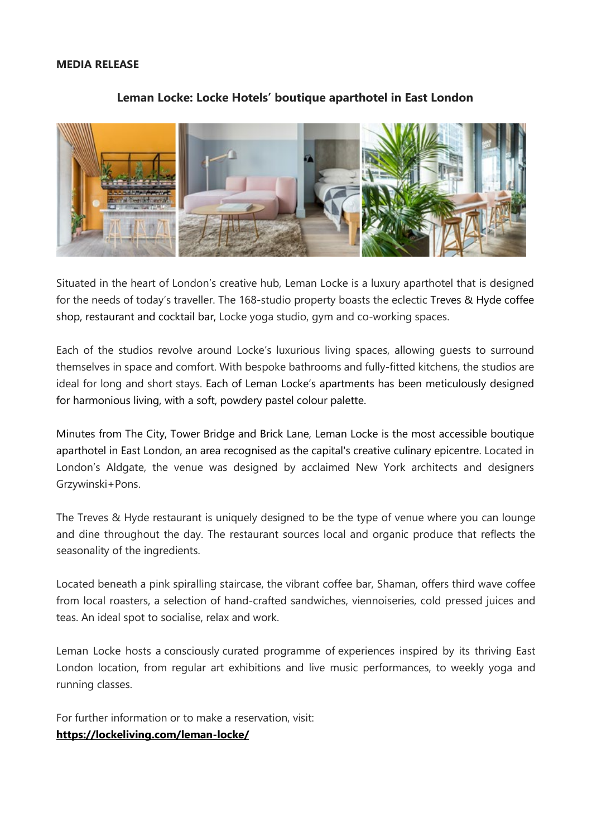#### **MEDIA RELEASE**



#### **Leman Locke: Locke Hotels' boutique aparthotel in East London**

Situated in the heart of London's creative hub, Leman Locke is a luxury aparthotel that is designed for the needs of today's traveller. The 168-studio property boasts the eclectic Treves & Hyde coffee shop, restaurant and cocktail bar, Locke yoga studio, gym and co-working spaces.

Each of the studios revolve around Locke's luxurious living spaces, allowing guests to surround themselves in space and comfort. With bespoke bathrooms and fully-fitted kitchens, the studios are ideal for long and short stays. Each of Leman Locke's apartments has been meticulously designed for harmonious living, with a soft, powdery pastel colour palette.

Minutes from The City, Tower Bridge and Brick Lane, Leman Locke is the most accessible boutique aparthotel in East London, an area recognised as the capital's creative culinary epicentre. Located in London's Aldgate, the venue was designed by acclaimed New York architects and designers Grzywinski+Pons.

The Treves & Hyde restaurant is uniquely designed to be the type of venue where you can lounge and dine throughout the day. The restaurant sources local and organic produce that reflects the seasonality of the ingredients.

Located beneath a pink spiralling staircase, the vibrant coffee bar, Shaman, offers third wave coffee from local roasters, a selection of hand-crafted sandwiches, viennoiseries, cold pressed juices and teas. An ideal spot to socialise, relax and work.

Leman Locke hosts a consciously curated programme of experiences inspired by its thriving East London location, from regular art exhibitions and live music performances, to weekly yoga and running classes.

For further information or to make a reservation, visit: **<https://lockeliving.com/leman-locke/>**